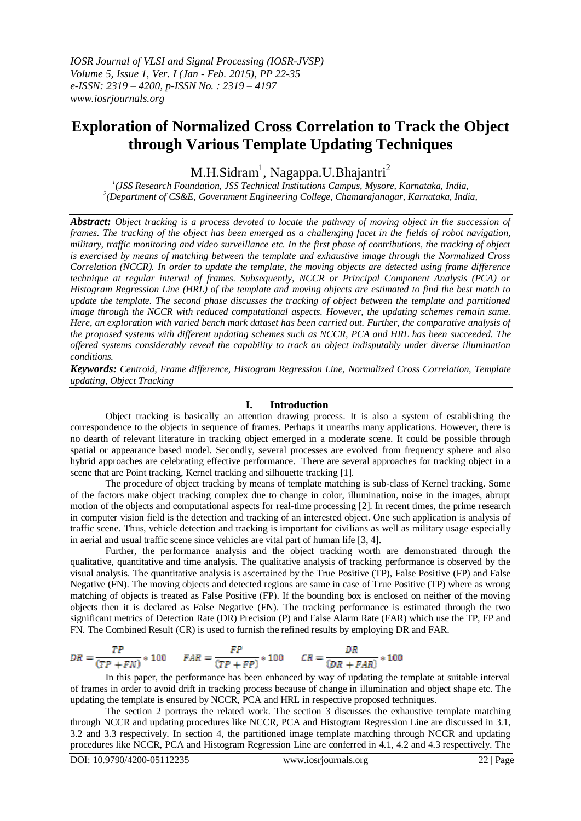# **Exploration of Normalized Cross Correlation to Track the Object through Various Template Updating Techniques**

M.H.Sidram<sup>1</sup>, Nagappa.U.Bhajantri<sup>2</sup>

*1 (JSS Research Foundation, JSS Technical Institutions Campus, Mysore, Karnataka, India, 2 (Department of CS&E, Government Engineering College, Chamarajanagar, Karnataka, India,* 

*Abstract: Object tracking is a process devoted to locate the pathway of moving object in the succession of frames. The tracking of the object has been emerged as a challenging facet in the fields of robot navigation, military, traffic monitoring and video surveillance etc. In the first phase of contributions, the tracking of object is exercised by means of matching between the template and exhaustive image through the Normalized Cross Correlation (NCCR). In order to update the template, the moving objects are detected using frame difference technique at regular interval of frames. Subsequently, NCCR or Principal Component Analysis (PCA) or Histogram Regression Line (HRL) of the template and moving objects are estimated to find the best match to update the template. The second phase discusses the tracking of object between the template and partitioned image through the NCCR with reduced computational aspects. However, the updating schemes remain same. Here, an exploration with varied bench mark dataset has been carried out. Further, the comparative analysis of the proposed systems with different updating schemes such as NCCR, PCA and HRL has been succeeded. The offered systems considerably reveal the capability to track an object indisputably under diverse illumination conditions.* 

*Keywords: Centroid, Frame difference, Histogram Regression Line, Normalized Cross Correlation, Template updating, Object Tracking*

#### **I. Introduction**

Object tracking is basically an attention drawing process. It is also a system of establishing the correspondence to the objects in sequence of frames. Perhaps it unearths many applications. However, there is no dearth of relevant literature in tracking object emerged in a moderate scene. It could be possible through spatial or appearance based model. Secondly, several processes are evolved from frequency sphere and also hybrid approaches are celebrating effective performance. There are several approaches for tracking object in a scene that are Point tracking, Kernel tracking and silhouette tracking [1].

The procedure of object tracking by means of template matching is sub-class of Kernel tracking. Some of the factors make object tracking complex due to change in color, illumination, noise in the images, abrupt motion of the objects and computational aspects for real-time processing [2]. In recent times, the prime research in computer vision field is the detection and tracking of an interested object. One such application is analysis of traffic scene. Thus, vehicle detection and tracking is important for civilians as well as military usage especially in aerial and usual traffic scene since vehicles are vital part of human life [3, 4].

Further, the performance analysis and the object tracking worth are demonstrated through the qualitative, quantitative and time analysis. The qualitative analysis of tracking performance is observed by the visual analysis. The quantitative analysis is ascertained by the True Positive (TP), False Positive (FP) and False Negative (FN). The moving objects and detected regions are same in case of True Positive (TP) where as wrong matching of objects is treated as False Positive (FP). If the bounding box is enclosed on neither of the moving objects then it is declared as False Negative (FN). The tracking performance is estimated through the two significant metrics of Detection Rate (DR) Precision (P) and False Alarm Rate (FAR) which use the TP, FP and FN. The Combined Result (CR) is used to furnish the refined results by employing DR and FAR.

$$
DR = \frac{TP}{(TP + FN)} * 100 \qquad FAR = \frac{FP}{(TP + FP)} * 100 \qquad CR = \frac{DR}{(DR + FAR)} * 100
$$

In this paper, the performance has been enhanced by way of updating the template at suitable interval of frames in order to avoid drift in tracking process because of change in illumination and object shape etc. The updating the template is ensured by NCCR, PCA and HRL in respective proposed techniques.

The section 2 portrays the related work. The section 3 discusses the exhaustive template matching through NCCR and updating procedures like NCCR, PCA and Histogram Regression Line are discussed in 3.1, 3.2 and 3.3 respectively. In section 4, the partitioned image template matching through NCCR and updating procedures like NCCR, PCA and Histogram Regression Line are conferred in 4.1, 4.2 and 4.3 respectively. The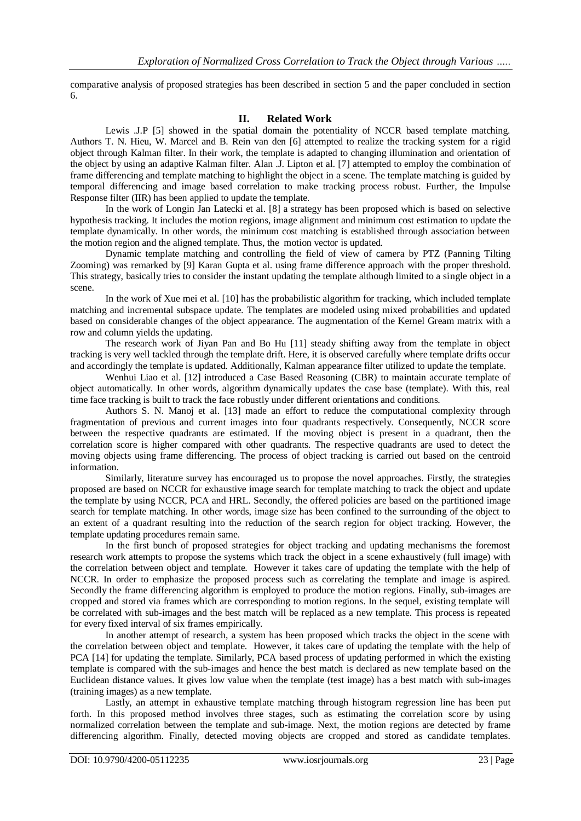comparative analysis of proposed strategies has been described in section 5 and the paper concluded in section 6.

### **II. Related Work**

Lewis .J.P [5] showed in the spatial domain the potentiality of NCCR based template matching. Authors T. N. Hieu, W. Marcel and B. Rein van den [6] attempted to realize the tracking system for a rigid object through Kalman filter. In their work, the template is adapted to changing illumination and orientation of the object by using an adaptive Kalman filter. Alan .J. Lipton et al. [7] attempted to employ the combination of frame differencing and template matching to highlight the object in a scene. The template matching is guided by temporal differencing and image based correlation to make tracking process robust. Further, the Impulse Response filter (IIR) has been applied to update the template.

In the work of Longin Jan Latecki et al. [8] a strategy has been proposed which is based on selective hypothesis tracking. It includes the motion regions, image alignment and minimum cost estimation to update the template dynamically. In other words, the minimum cost matching is established through association between the motion region and the aligned template. Thus, the motion vector is updated.

Dynamic template matching and controlling the field of view of camera by PTZ (Panning Tilting Zooming) was remarked by [9] Karan Gupta et al. using frame difference approach with the proper threshold. This strategy, basically tries to consider the instant updating the template although limited to a single object in a scene.

In the work of Xue mei et al. [10] has the probabilistic algorithm for tracking, which included template matching and incremental subspace update. The templates are modeled using mixed probabilities and updated based on considerable changes of the object appearance. The augmentation of the Kernel Gream matrix with a row and column yields the updating.

The research work of Jiyan Pan and Bo Hu [11] steady shifting away from the template in object tracking is very well tackled through the template drift. Here, it is observed carefully where template drifts occur and accordingly the template is updated. Additionally, Kalman appearance filter utilized to update the template.

Wenhui Liao et al. [12] introduced a Case Based Reasoning (CBR) to maintain accurate template of object automatically. In other words, algorithm dynamically updates the case base (template). With this, real time face tracking is built to track the face robustly under different orientations and conditions.

Authors S. N. Manoj et al. [13] made an effort to reduce the computational complexity through fragmentation of previous and current images into four quadrants respectively. Consequently, NCCR score between the respective quadrants are estimated. If the moving object is present in a quadrant, then the correlation score is higher compared with other quadrants. The respective quadrants are used to detect the moving objects using frame differencing. The process of object tracking is carried out based on the centroid information.

Similarly, literature survey has encouraged us to propose the novel approaches. Firstly, the strategies proposed are based on NCCR for exhaustive image search for template matching to track the object and update the template by using NCCR, PCA and HRL. Secondly, the offered policies are based on the partitioned image search for template matching. In other words, image size has been confined to the surrounding of the object to an extent of a quadrant resulting into the reduction of the search region for object tracking. However, the template updating procedures remain same.

In the first bunch of proposed strategies for object tracking and updating mechanisms the foremost research work attempts to propose the systems which track the object in a scene exhaustively (full image) with the correlation between object and template. However it takes care of updating the template with the help of NCCR. In order to emphasize the proposed process such as correlating the template and image is aspired. Secondly the frame differencing algorithm is employed to produce the motion regions. Finally, sub-images are cropped and stored via frames which are corresponding to motion regions. In the sequel, existing template will be correlated with sub-images and the best match will be replaced as a new template. This process is repeated for every fixed interval of six frames empirically.

In another attempt of research, a system has been proposed which tracks the object in the scene with the correlation between object and template. However, it takes care of updating the template with the help of PCA [14] for updating the template. Similarly, PCA based process of updating performed in which the existing template is compared with the sub-images and hence the best match is declared as new template based on the Euclidean distance values. It gives low value when the template (test image) has a best match with sub-images (training images) as a new template.

Lastly, an attempt in exhaustive template matching through histogram regression line has been put forth. In this proposed method involves three stages, such as estimating the correlation score by using normalized correlation between the template and sub-image. Next, the motion regions are detected by frame differencing algorithm. Finally, detected moving objects are cropped and stored as candidate templates.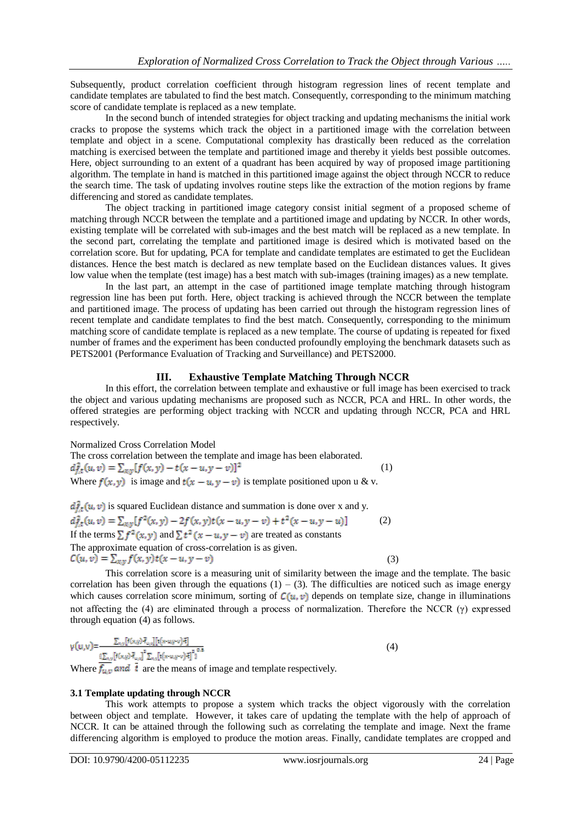Subsequently, product correlation coefficient through histogram regression lines of recent template and candidate templates are tabulated to find the best match. Consequently, corresponding to the minimum matching score of candidate template is replaced as a new template.

In the second bunch of intended strategies for object tracking and updating mechanisms the initial work cracks to propose the systems which track the object in a partitioned image with the correlation between template and object in a scene. Computational complexity has drastically been reduced as the correlation matching is exercised between the template and partitioned image and thereby it yields best possible outcomes. Here, object surrounding to an extent of a quadrant has been acquired by way of proposed image partitioning algorithm. The template in hand is matched in this partitioned image against the object through NCCR to reduce the search time. The task of updating involves routine steps like the extraction of the motion regions by frame differencing and stored as candidate templates.

The object tracking in partitioned image category consist initial segment of a proposed scheme of matching through NCCR between the template and a partitioned image and updating by NCCR. In other words, existing template will be correlated with sub-images and the best match will be replaced as a new template. In the second part, correlating the template and partitioned image is desired which is motivated based on the correlation score. But for updating, PCA for template and candidate templates are estimated to get the Euclidean distances. Hence the best match is declared as new template based on the Euclidean distances values. It gives low value when the template (test image) has a best match with sub-images (training images) as a new template.

In the last part, an attempt in the case of partitioned image template matching through histogram regression line has been put forth. Here, object tracking is achieved through the NCCR between the template and partitioned image. The process of updating has been carried out through the histogram regression lines of recent template and candidate templates to find the best match. Consequently, corresponding to the minimum matching score of candidate template is replaced as a new template. The course of updating is repeated for fixed number of frames and the experiment has been conducted profoundly employing the benchmark datasets such as PETS2001 (Performance Evaluation of Tracking and Surveillance) and PETS2000.

### **III. Exhaustive Template Matching Through NCCR**

In this effort, the correlation between template and exhaustive or full image has been exercised to track the object and various updating mechanisms are proposed such as NCCR, PCA and HRL. In other words, the offered strategies are performing object tracking with NCCR and updating through NCCR, PCA and HRL respectively.

Normalized Cross Correlation Model

The cross correlation between the template and image has been elaborated.<br> $d_{f,t}^2(u, v) = \sum_{x,y} [f(x, y) - t(x - u, y - v)]^2$  (1) Where  $f(x, y)$  is image and  $t(x - u, y - v)$  is template positioned upon u & v.

 $d_{xx}^{2}(u, v)$  is squared Euclidean distance and summation is done over x and y.  $d_{f,t}^2(u,v) = \sum_{x,y} [f^2(x,y) - 2f(x,y)t(x-u,y-v) + t^2(x-u,y-u)]$  (2) If the terms  $\sum f^2(x, y)$  and  $\sum t^2(x - u, y - v)$  are treated as constants The approximate equation of cross-correlation is as given.<br> $C(u, v) = \sum_{x,y} f(x, y) t(x - u, y - v)$ (3)

This correlation score is a measuring unit of similarity between the image and the template. The basic correlation has been given through the equations  $(1) - (3)$ . The difficulties are noticed such as image energy which causes correlation score minimum, sorting of  $C(u, v)$  depends on template size, change in illuminations not affecting the (4) are eliminated through a process of normalization. Therefore the NCCR (γ) expressed through equation (4) as follows.

$$
\gamma(u,v) = \frac{\sum_{x,y} [f(x,y) \bar{f}_{u,y}][t(x-u,y-v) \bar{f}]}{\frac{\sum_{x,y} [f(x,y) \bar{f}_{u,y}]}{\sum_{x,y} [f(x-u,y-v) \bar{f}]^2} \sum_{x,y} [f(x,y) \bar{f}_{u,y}]} (4)
$$

Where  $f_{u,v}$  and  $\bar{t}$  are the means of image and template respectively.

# **3.1 Template updating through NCCR**

This work attempts to propose a system which tracks the object vigorously with the correlation between object and template. However, it takes care of updating the template with the help of approach of NCCR. It can be attained through the following such as correlating the template and image. Next the frame differencing algorithm is employed to produce the motion areas. Finally, candidate templates are cropped and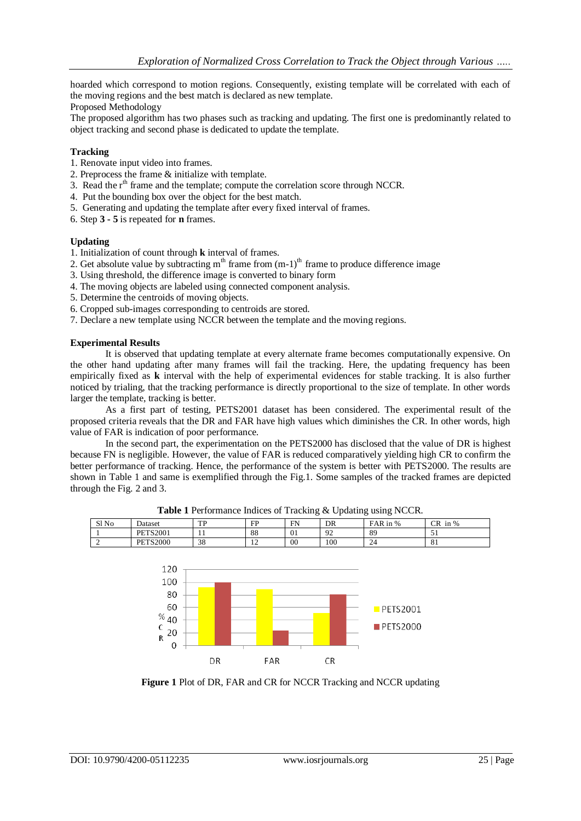hoarded which correspond to motion regions. Consequently, existing template will be correlated with each of the moving regions and the best match is declared as new template.

Proposed Methodology

The proposed algorithm has two phases such as tracking and updating. The first one is predominantly related to object tracking and second phase is dedicated to update the template.

### **Tracking**

- 1. Renovate input video into frames.
- 2. Preprocess the frame & initialize with template.
- 3. Read the  $r<sup>th</sup>$  frame and the template; compute the correlation score through NCCR.
- 4. Put the bounding box over the object for the best match.
- 5. Generating and updating the template after every fixed interval of frames.
- 6. Step **3 - 5** is repeated for **n** frames.

### **Updating**

- 1. Initialization of count through **k** interval of frames.
- 2. Get absolute value by subtracting  $m<sup>th</sup>$  frame from  $(m-1)<sup>th</sup>$  frame to produce difference image
- 3. Using threshold, the difference image is converted to binary form
- 4. The moving objects are labeled using connected component analysis.
- 5. Determine the centroids of moving objects.
- 6. Cropped sub-images corresponding to centroids are stored.
- 7. Declare a new template using NCCR between the template and the moving regions.

### **Experimental Results**

It is observed that updating template at every alternate frame becomes computationally expensive. On the other hand updating after many frames will fail the tracking. Here, the updating frequency has been empirically fixed as **k** interval with the help of experimental evidences for stable tracking. It is also further noticed by trialing, that the tracking performance is directly proportional to the size of template. In other words larger the template, tracking is better.

As a first part of testing, PETS2001 dataset has been considered. The experimental result of the proposed criteria reveals that the DR and FAR have high values which diminishes the CR. In other words, high value of FAR is indication of poor performance.

In the second part, the experimentation on the PETS2000 has disclosed that the value of DR is highest because FN is negligible. However, the value of FAR is reduced comparatively yielding high CR to confirm the better performance of tracking. Hence, the performance of the system is better with PETS2000. The results are shown in Table 1 and same is exemplified through the Fig.1. Some samples of the tracked frames are depicted through the Fig. 2 and 3.



**Table 1** Performance Indices of Tracking & Updating using NCCR.

SINo Dataset | TP | FP | FN | DR | FAR in % | CR in %

**Figure 1** Plot of DR, FAR and CR for NCCR Tracking and NCCR updating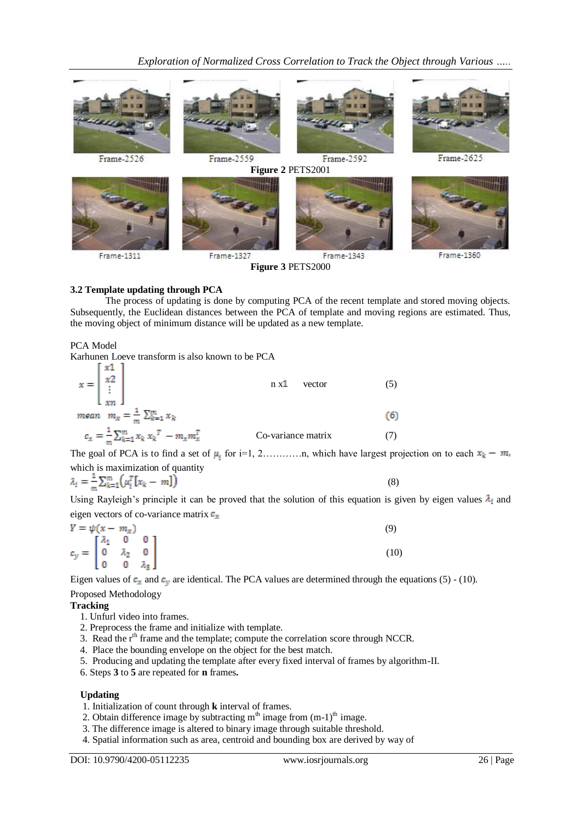*Exploration of Normalized Cross Correlation to Track the Object through Various …..*



**Figure 3** PETS2000

### **3.2 Template updating through PCA**

The process of updating is done by computing PCA of the recent template and stored moving objects. Subsequently, the Euclidean distances between the PCA of template and moving regions are estimated. Thus, the moving object of minimum distance will be updated as a new template.

PCA Model

Karhunen Loeve transform is also known to be PCA  $\begin{bmatrix} x1 \end{bmatrix}$ 

| $x = \begin{bmatrix} x^2 \\ \vdots \\ x^n \end{bmatrix}$ | $n \times 1$<br>vector |    |
|----------------------------------------------------------|------------------------|----|
| mean $m_x = \frac{1}{m} \sum_{k=1}^m x_k$                |                        | 66 |
| $c_x = \frac{1}{m} \sum_{k=1}^{m} x_k x_k^T - m_x m_x^T$ | Co-variance matrix     |    |

The goal of PCA is to find a set of  $\mu_i$  for i=1, 2…………n, which have largest projection on to each  $x_k - m$ , which is maximization of quantity

$$
\lambda_i = \frac{1}{m} \sum_{k=1}^m \left( \mu_i^T \left[ x_k - m \right] \right) \tag{8}
$$

Using Rayleigh's principle it can be proved that the solution of this equation is given by eigen values  $\lambda_i$  and eigen vectors of co-variance matrix  $c_x$ 

$$
Y = \psi(x - m_x)
$$
  
\n
$$
c_y = \begin{bmatrix} \lambda_1 & 0 & 0 \\ 0 & \lambda_2 & 0 \\ 0 & 0 & \lambda_3 \end{bmatrix}
$$
 (9)

Eigen values of  $c_x$  and  $c_y$  are identical. The PCA values are determined through the equations (5) - (10). Proposed Methodology

#### **Tracking**

- 1. Unfurl video into frames.
- 2. Preprocess the frame and initialize with template.
- 3. Read the  $r<sup>th</sup>$  frame and the template; compute the correlation score through NCCR.
- 4. Place the bounding envelope on the object for the best match.
- 5. Producing and updating the template after every fixed interval of frames by algorithm-II.
- 6. Steps **3** to **5** are repeated for **n** frames**.**

#### **Updating**

- 1. Initialization of count through **k** interval of frames.
- 2. Obtain difference image by subtracting  $m<sup>th</sup>$  image from  $(m-1)<sup>th</sup>$  image.
- 3. The difference image is altered to binary image through suitable threshold.
- 4. Spatial information such as area, centroid and bounding box are derived by way of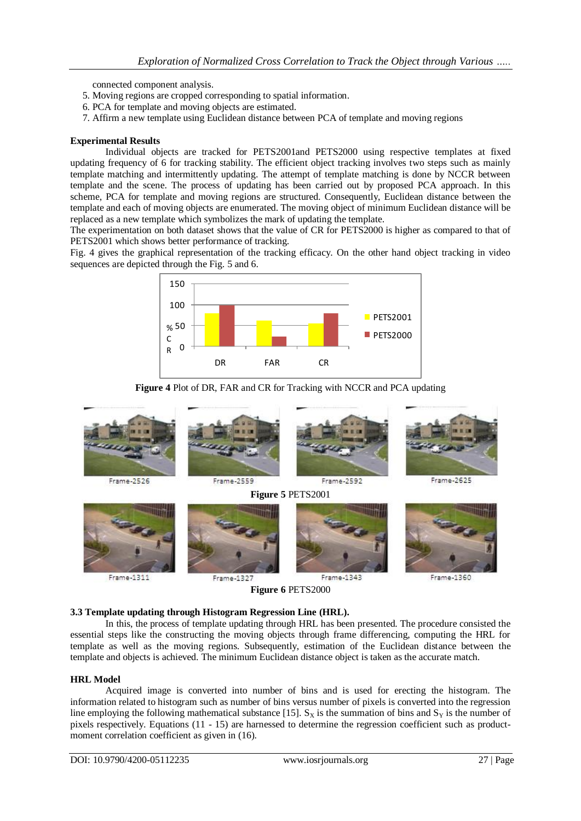connected component analysis.

- 5. Moving regions are cropped corresponding to spatial information.
- 6. PCA for template and moving objects are estimated.
- 7. Affirm a new template using Euclidean distance between PCA of template and moving regions

#### **Experimental Results**

Individual objects are tracked for PETS2001and PETS2000 using respective templates at fixed updating frequency of 6 for tracking stability. The efficient object tracking involves two steps such as mainly template matching and intermittently updating. The attempt of template matching is done by NCCR between template and the scene. The process of updating has been carried out by proposed PCA approach. In this scheme, PCA for template and moving regions are structured. Consequently, Euclidean distance between the template and each of moving objects are enumerated. The moving object of minimum Euclidean distance will be replaced as a new template which symbolizes the mark of updating the template.

The experimentation on both dataset shows that the value of CR for PETS2000 is higher as compared to that of PETS2001 which shows better performance of tracking.

Fig. 4 gives the graphical representation of the tracking efficacy. On the other hand object tracking in video sequences are depicted through the Fig. 5 and 6.







**Figure 6** PETS2000

# **3.3 Template updating through Histogram Regression Line (HRL).**

In this, the process of template updating through HRL has been presented. The procedure consisted the essential steps like the constructing the moving objects through frame differencing, computing the HRL for template as well as the moving regions. Subsequently, estimation of the Euclidean distance between the template and objects is achieved. The minimum Euclidean distance object is taken as the accurate match.

#### **HRL Model**

Acquired image is converted into number of bins and is used for erecting the histogram. The information related to histogram such as number of bins versus number of pixels is converted into the regression line employing the following mathematical substance [15].  $S_X$  is the summation of bins and  $S_Y$  is the number of pixels respectively. Equations (11 - 15) are harnessed to determine the regression coefficient such as productmoment correlation coefficient as given in  $(16)$ .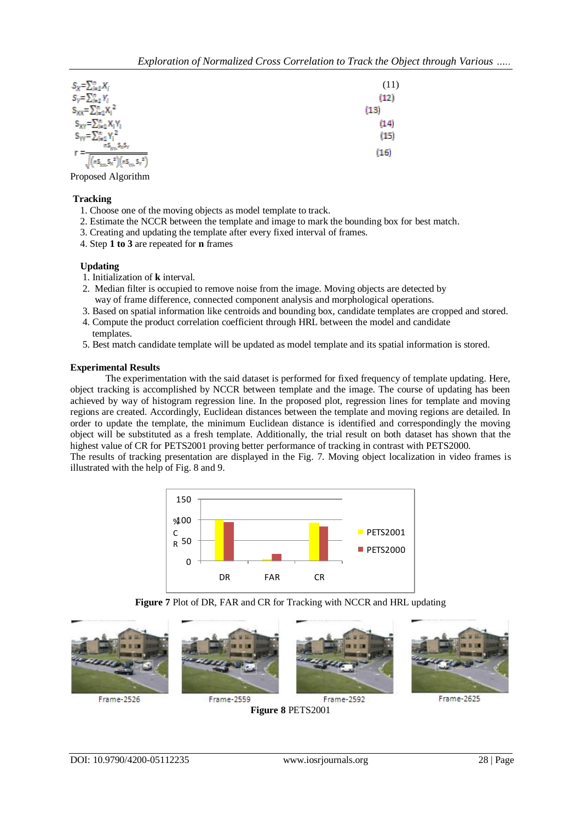$\overline{)}$ 

| $S_X = \sum_{i=1}^n X_i$             | (11) |
|--------------------------------------|------|
| $S_Y = \sum_{i=1}^n Y_i$             | (12) |
| $S_{XX} = \sum_{i=1}^{n} X_i^2$      | (13) |
| $S_{XY} = \sum_{i=1}^{n} X_i Y_i$    | (14) |
| $S_{yy} = \sum_{i=1}^{n} Y_i^2$      | (15) |
| $nS_{XY}S_XS_Y$                      | (16) |
| $(nS_{xx}S_x^2)(nS_{yy}S_y^2)$<br>ΝV |      |

Proposed Algorithm

### **Tracking**

- 1. Choose one of the moving objects as model template to track.
- 2. Estimate the NCCR between the template and image to mark the bounding box for best match.
- 3. Creating and updating the template after every fixed interval of frames.
- 4. Step **1 to 3** are repeated for **n** frames

### **Updating**

- 1. Initialization of **k** interval.
- 2. Median filter is occupied to remove noise from the image. Moving objects are detected by way of frame difference, connected component analysis and morphological operations.
- 3. Based on spatial information like centroids and bounding box, candidate templates are cropped and stored.
- 4. Compute the product correlation coefficient through HRL between the model and candidate templates.
- 5. Best match candidate template will be updated as model template and its spatial information is stored.

### **Experimental Results**

The experimentation with the said dataset is performed for fixed frequency of template updating. Here, object tracking is accomplished by NCCR between template and the image. The course of updating has been achieved by way of histogram regression line. In the proposed plot, regression lines for template and moving regions are created. Accordingly, Euclidean distances between the template and moving regions are detailed. In order to update the template, the minimum Euclidean distance is identified and correspondingly the moving object will be substituted as a fresh template. Additionally, the trial result on both dataset has shown that the highest value of CR for PETS2001 proving better performance of tracking in contrast with PETS2000.

The results of tracking presentation are displayed in the Fig. 7. Moving object localization in video frames is illustrated with the help of Fig. 8 and 9.



**Figure 7** Plot of DR, FAR and CR for Tracking with NCCR and HRL updating

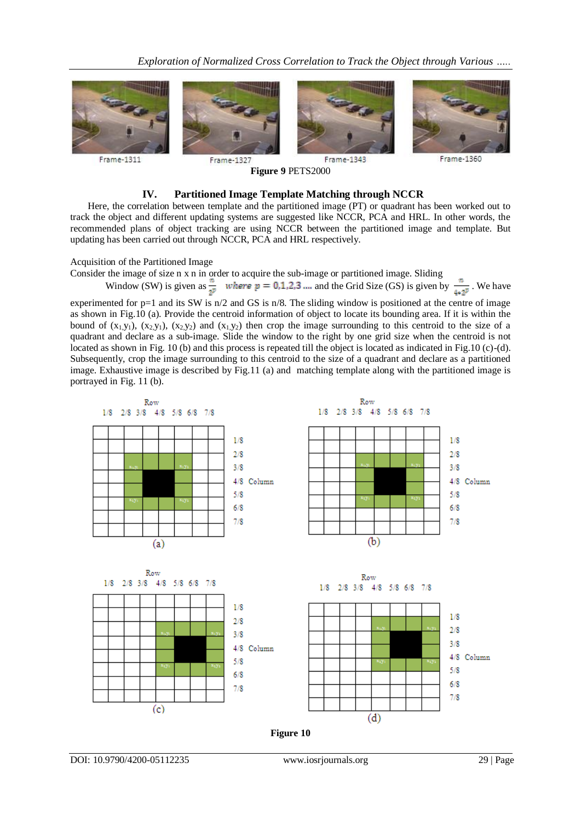*Exploration of Normalized Cross Correlation to Track the Object through Various …..*



**Figure 9** PETS2000

# Frame-1360

#### **IV. Partitioned Image Template Matching through NCCR**

Here, the correlation between template and the partitioned image (PT) or quadrant has been worked out to track the object and different updating systems are suggested like NCCR, PCA and HRL. In other words, the recommended plans of object tracking are using NCCR between the partitioned image and template. But updating has been carried out through NCCR, PCA and HRL respectively.

Acquisition of the Partitioned Image

Consider the image of size n x n in order to acquire the sub-image or partitioned image. Sliding

Window (SW) is given as 
$$
\frac{\pi}{2^p}
$$
 where  $p = 0, 1, 2, 3, \dots$  and the Grid Size (GS) is given by  $\frac{\pi}{4 \times 2^p}$ . We have

experimented for p=1 and its SW is n/2 and GS is n/8. The sliding window is positioned at the centre of image as shown in Fig.10 (a). Provide the centroid information of object to locate its bounding area. If it is within the bound of  $(x_1,y_1)$ ,  $(x_2,y_1)$ ,  $(x_2,y_2)$  and  $(x_1,y_2)$  then crop the image surrounding to this centroid to the size of a quadrant and declare as a sub-image. Slide the window to the right by one grid size when the centroid is not located as shown in Fig. 10 (b) and this process is repeated till the object is located as indicated in Fig.10 (c)-(d). Subsequently, crop the image surrounding to this centroid to the size of a quadrant and declare as a partitioned image. Exhaustive image is described by Fig.11 (a) and matching template along with the partitioned image is portrayed in Fig. 11 (b).

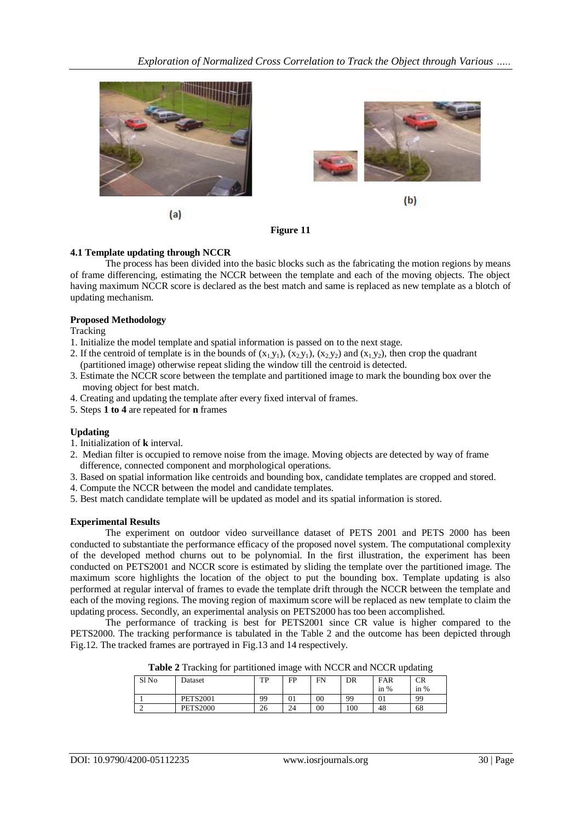

 $(a)$ 



 $(b)$ 



### **4.1 Template updating through NCCR**

The process has been divided into the basic blocks such as the fabricating the motion regions by means of frame differencing, estimating the NCCR between the template and each of the moving objects. The object having maximum NCCR score is declared as the best match and same is replaced as new template as a blotch of updating mechanism.

### **Proposed Methodology**

Tracking

- 1. Initialize the model template and spatial information is passed on to the next stage.
- 2. If the centroid of template is in the bounds of  $(x_1, y_1)$ ,  $(x_2, y_1)$ ,  $(x_2, y_2)$  and  $(x_1, y_2)$ , then crop the quadrant (partitioned image) otherwise repeat sliding the window till the centroid is detected.
- 3. Estimate the NCCR score between the template and partitioned image to mark the bounding box over the moving object for best match.
- 4. Creating and updating the template after every fixed interval of frames.
- 5. Steps **1 to 4** are repeated for **n** frames

# **Updating**

- 1. Initialization of **k** interval.
- 2. Median filter is occupied to remove noise from the image. Moving objects are detected by way of frame difference, connected component and morphological operations.
- 3. Based on spatial information like centroids and bounding box, candidate templates are cropped and stored.
- 4. Compute the NCCR between the model and candidate templates.
- 5. Best match candidate template will be updated as model and its spatial information is stored.

#### **Experimental Results**

The experiment on outdoor video surveillance dataset of PETS 2001 and PETS 2000 has been conducted to substantiate the performance efficacy of the proposed novel system. The computational complexity of the developed method churns out to be polynomial. In the first illustration, the experiment has been conducted on PETS2001 and NCCR score is estimated by sliding the template over the partitioned image. The maximum score highlights the location of the object to put the bounding box. Template updating is also performed at regular interval of frames to evade the template drift through the NCCR between the template and each of the moving regions. The moving region of maximum score will be replaced as new template to claim the updating process. Secondly, an experimental analysis on PETS2000 has too been accomplished.

The performance of tracking is best for PETS2001 since CR value is higher compared to the PETS2000. The tracking performance is tabulated in the Table 2 and the outcome has been depicted through Fig.12. The tracked frames are portrayed in Fig.13 and 14 respectively.

|       | ັ               |           | ັ  |    |     |                     | ັ      |
|-------|-----------------|-----------|----|----|-----|---------------------|--------|
| Sl No | Dataset         | TЪ<br>1 F | FP | FN | DR  | FAR                 | CR     |
|       |                 |           |    |    |     | $\frac{0}{0}$<br>1n | in $%$ |
|       | <b>PETS2001</b> | 99        | 01 | 00 | 99  | 01                  | 99     |
|       | <b>PETS2000</b> | 26        | 24 | 00 | 100 | 48                  | 68     |

**Table 2** Tracking for partitioned image with NCCR and NCCR updating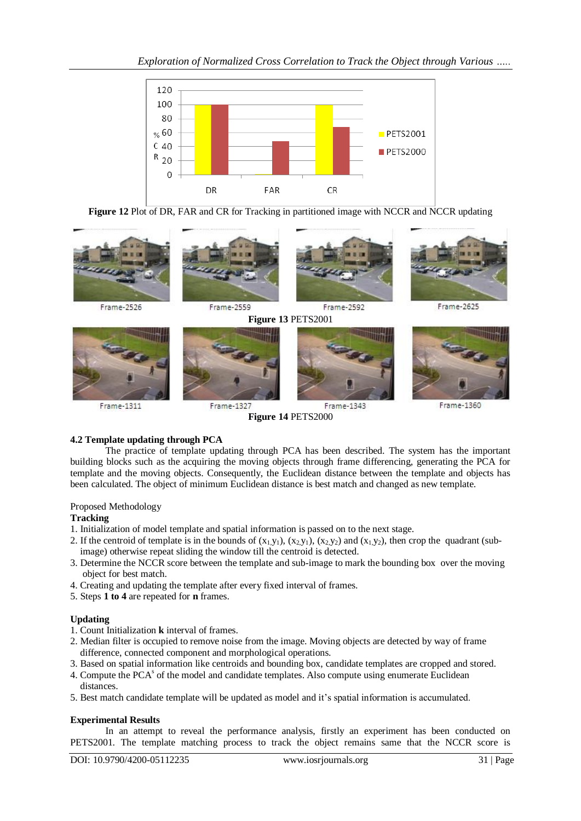



Frame-2526 Frame-2559 Frame-2592 Frame-2625 **Figure 13** PETS2001 Frame-1311 Frame-1327 Frame-1343 Frame-1360 **Figure 14** PETS2000

# **4.2 Template updating through PCA**

The practice of template updating through PCA has been described. The system has the important building blocks such as the acquiring the moving objects through frame differencing, generating the PCA for template and the moving objects. Consequently, the Euclidean distance between the template and objects has been calculated. The object of minimum Euclidean distance is best match and changed as new template.

# Proposed Methodology

# **Tracking**

- 1. Initialization of model template and spatial information is passed on to the next stage.
- 2. If the centroid of template is in the bounds of  $(x_1, y_1)$ ,  $(x_2, y_1)$ ,  $(x_2, y_2)$  and  $(x_1, y_2)$ , then crop the quadrant (subimage) otherwise repeat sliding the window till the centroid is detected.
- 3. Determine the NCCR score between the template and sub-image to mark the bounding box over the moving object for best match.
- 4. Creating and updating the template after every fixed interval of frames.
- 5. Steps **1 to 4** are repeated for **n** frames.

# **Updating**

- 1. Count Initialization **k** interval of frames.
- 2. Median filter is occupied to remove noise from the image. Moving objects are detected by way of frame difference, connected component and morphological operations.
- 3. Based on spatial information like centroids and bounding box, candidate templates are cropped and stored.
- 4. Compute the PCA<sup>s</sup> of the model and candidate templates. Also compute using enumerate Euclidean distances.
- 5. Best match candidate template will be updated as model and it's spatial information is accumulated.

# **Experimental Results**

In an attempt to reveal the performance analysis, firstly an experiment has been conducted on PETS2001. The template matching process to track the object remains same that the NCCR score is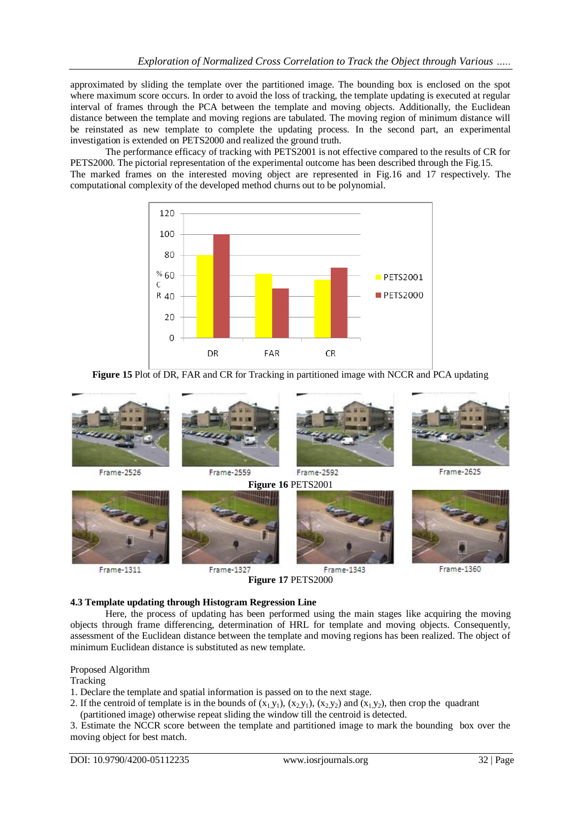approximated by sliding the template over the partitioned image. The bounding box is enclosed on the spot where maximum score occurs. In order to avoid the loss of tracking, the template updating is executed at regular interval of frames through the PCA between the template and moving objects. Additionally, the Euclidean distance between the template and moving regions are tabulated. The moving region of minimum distance will be reinstated as new template to complete the updating process. In the second part, an experimental investigation is extended on PETS2000 and realized the ground truth.

The performance efficacy of tracking with PETS2001 is not effective compared to the results of CR for PETS2000. The pictorial representation of the experimental outcome has been described through the Fig.15.

The marked frames on the interested moving object are represented in Fig.16 and 17 respectively. The computational complexity of the developed method churns out to be polynomial.



**Figure 15** Plot of DR, FAR and CR for Tracking in partitioned image with NCCR and PCA updating



**Figure 17** PETS2000

#### **4.3 Template updating through Histogram Regression Line**

Here, the process of updating has been performed using the main stages like acquiring the moving objects through frame differencing, determination of HRL for template and moving objects. Consequently, assessment of the Euclidean distance between the template and moving regions has been realized. The object of minimum Euclidean distance is substituted as new template.

#### Proposed Algorithm

Tracking

1. Declare the template and spatial information is passed on to the next stage.

- 2. If the centroid of template is in the bounds of  $(x_1, y_1)$ ,  $(x_2, y_1)$ ,  $(x_2, y_2)$  and  $(x_1, y_2)$ , then crop the quadrant (partitioned image) otherwise repeat sliding the window till the centroid is detected.
- 3. Estimate the NCCR score between the template and partitioned image to mark the bounding box over the moving object for best match.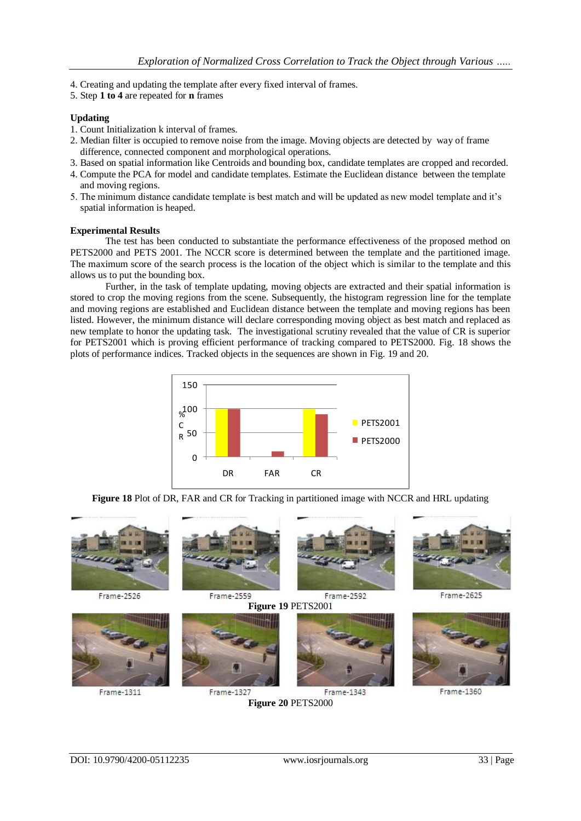- 4. Creating and updating the template after every fixed interval of frames.
- 5. Step **1 to 4** are repeated for **n** frames

# **Updating**

- 1. Count Initialization k interval of frames.
- 2. Median filter is occupied to remove noise from the image. Moving objects are detected by way of frame difference, connected component and morphological operations.
- 3. Based on spatial information like Centroids and bounding box, candidate templates are cropped and recorded.
- 4. Compute the PCA for model and candidate templates. Estimate the Euclidean distance between the template and moving regions.
- 5. The minimum distance candidate template is best match and will be updated as new model template and it's spatial information is heaped.

#### **Experimental Results**

The test has been conducted to substantiate the performance effectiveness of the proposed method on PETS2000 and PETS 2001. The NCCR score is determined between the template and the partitioned image. The maximum score of the search process is the location of the object which is similar to the template and this allows us to put the bounding box.

Further, in the task of template updating, moving objects are extracted and their spatial information is stored to crop the moving regions from the scene. Subsequently, the histogram regression line for the template and moving regions are established and Euclidean distance between the template and moving regions has been listed. However, the minimum distance will declare corresponding moving object as best match and replaced as new template to honor the updating task. The investigational scrutiny revealed that the value of CR is superior for PETS2001 which is proving efficient performance of tracking compared to PETS2000. Fig. 18 shows the plots of performance indices. Tracked objects in the sequences are shown in Fig. 19 and 20.



**Figure 18** Plot of DR, FAR and CR for Tracking in partitioned image with NCCR and HRL updating



**Figure 20** PETS2000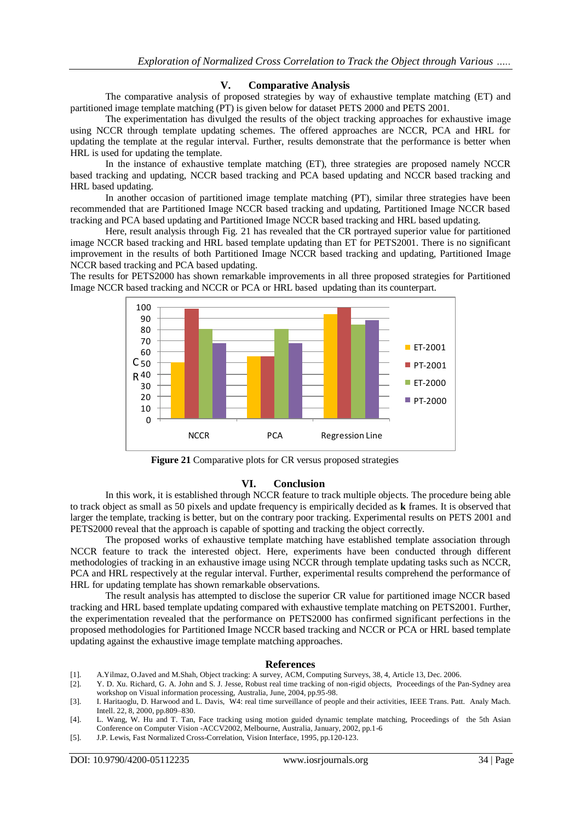# **V. Comparative Analysis**

The comparative analysis of proposed strategies by way of exhaustive template matching (ET) and partitioned image template matching (PT) is given below for dataset PETS 2000 and PETS 2001.

The experimentation has divulged the results of the object tracking approaches for exhaustive image using NCCR through template updating schemes. The offered approaches are NCCR, PCA and HRL for updating the template at the regular interval. Further, results demonstrate that the performance is better when HRL is used for updating the template.

In the instance of exhaustive template matching (ET), three strategies are proposed namely NCCR based tracking and updating, NCCR based tracking and PCA based updating and NCCR based tracking and HRL based updating.

In another occasion of partitioned image template matching (PT), similar three strategies have been recommended that are Partitioned Image NCCR based tracking and updating, Partitioned Image NCCR based tracking and PCA based updating and Partitioned Image NCCR based tracking and HRL based updating.

Here, result analysis through Fig. 21 has revealed that the CR portrayed superior value for partitioned image NCCR based tracking and HRL based template updating than ET for PETS2001. There is no significant improvement in the results of both Partitioned Image NCCR based tracking and updating, Partitioned Image NCCR based tracking and PCA based updating.

The results for PETS2000 has shown remarkable improvements in all three proposed strategies for Partitioned Image NCCR based tracking and NCCR or PCA or HRL based updating than its counterpart.



**Figure 21** Comparative plots for CR versus proposed strategies

#### **VI. Conclusion**

In this work, it is established through NCCR feature to track multiple objects. The procedure being able to track object as small as 50 pixels and update frequency is empirically decided as **k** frames. It is observed that larger the template, tracking is better, but on the contrary poor tracking. Experimental results on PETS 2001 and PETS2000 reveal that the approach is capable of spotting and tracking the object correctly.

The proposed works of exhaustive template matching have established template association through NCCR feature to track the interested object. Here, experiments have been conducted through different methodologies of tracking in an exhaustive image using NCCR through template updating tasks such as NCCR, PCA and HRL respectively at the regular interval. Further, experimental results comprehend the performance of HRL for updating template has shown remarkable observations.

The result analysis has attempted to disclose the superior CR value for partitioned image NCCR based tracking and HRL based template updating compared with exhaustive template matching on PETS2001. Further, the experimentation revealed that the performance on PETS2000 has confirmed significant perfections in the proposed methodologies for Partitioned Image NCCR based tracking and NCCR or PCA or HRL based template updating against the exhaustive image template matching approaches.

#### **References**

- [1]. A.Yilmaz, O.Javed and M.Shah, Object tracking: A survey, ACM, Computing Surveys, 38, 4, Article 13, Dec. 2006.
- [2]. Y. D. Xu. Richard, G. A. John and S. J. Jesse, Robust real time tracking of non-rigid objects, Proceedings of the Pan-Sydney area workshop on Visual information processing, Australia, June, 2004, pp.95-98.
- [3]. I. Haritaoglu, D. Harwood and L. Davis, W4: real time surveillance of people and their activities, IEEE Trans. Patt. Analy Mach. Intell. 22, 8, 2000, pp.809–830.
- [4]. L. Wang, W. Hu and T. Tan, Face tracking using motion guided dynamic template matching, Proceedings of the 5th Asian Conference on Computer Vision -ACCV2002, Melbourne, Australia, January, 2002, pp.1-6
- [5]. J.P. Lewis, Fast Normalized Cross-Correlation, Vision Interface, 1995, pp.120-123.